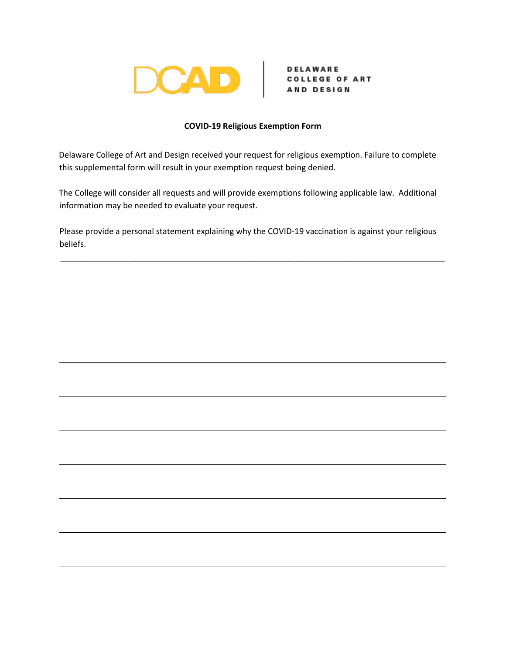

**DELAWARE COLLEGE OF ART** AND DESIGN

## **COVID-19 Religious Exemption Form**

Delaware College of Art and Design received your request for religious exemption. Failure to complete this supplemental form will result in your exemption request being denied.

The College will consider all requests and will provide exemptions following applicable law. Additional information may be needed to evaluate your request.

Please provide a personal statement explaining why the COVID-19 vaccination is against your religious beliefs.

\_\_\_\_\_\_\_\_\_\_\_\_\_\_\_\_\_\_\_\_\_\_\_\_\_\_\_\_\_\_\_\_\_\_\_\_\_\_\_\_\_\_\_\_\_\_\_\_\_\_\_\_\_\_\_\_\_\_\_\_\_\_\_\_\_\_\_\_\_\_\_\_\_\_\_\_\_\_\_\_\_\_\_\_\_